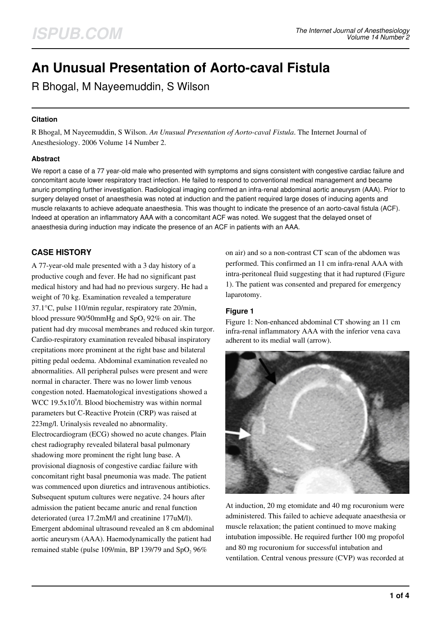# **An Unusual Presentation of Aorto-caval Fistula**

R Bhogal, M Nayeemuddin, S Wilson

## **Citation**

R Bhogal, M Nayeemuddin, S Wilson. *An Unusual Presentation of Aorto-caval Fistula*. The Internet Journal of Anesthesiology. 2006 Volume 14 Number 2.

#### **Abstract**

We report a case of a 77 year-old male who presented with symptoms and signs consistent with congestive cardiac failure and concomitant acute lower respiratory tract infection. He failed to respond to conventional medical management and became anuric prompting further investigation. Radiological imaging confirmed an infra-renal abdominal aortic aneurysm (AAA). Prior to surgery delayed onset of anaesthesia was noted at induction and the patient required large doses of inducing agents and muscle relaxants to achieve adequate anaesthesia. This was thought to indicate the presence of an aorto-caval fistula (ACF). Indeed at operation an inflammatory AAA with a concomitant ACF was noted. We suggest that the delayed onset of anaesthesia during induction may indicate the presence of an ACF in patients with an AAA.

# **CASE HISTORY**

A 77-year-old male presented with a 3 day history of a productive cough and fever. He had no significant past medical history and had had no previous surgery. He had a weight of 70 kg. Examination revealed a temperature 37.1°C, pulse 110/min regular, respiratory rate 20/min, blood pressure  $90/50$ mmHg and  $SpO<sub>2</sub> 92%$  on air. The patient had dry mucosal membranes and reduced skin turgor. Cardio-respiratory examination revealed bibasal inspiratory crepitations more prominent at the right base and bilateral pitting pedal oedema. Abdominal examination revealed no abnormalities. All peripheral pulses were present and were normal in character. There was no lower limb venous congestion noted. Haematological investigations showed a WCC 19.5 $x10<sup>9</sup>/l$ . Blood biochemistry was within normal parameters but C-Reactive Protein (CRP) was raised at 223mg/l. Urinalysis revealed no abnormality. Electrocardiogram (ECG) showed no acute changes. Plain chest radiography revealed bilateral basal pulmonary shadowing more prominent the right lung base. A provisional diagnosis of congestive cardiac failure with concomitant right basal pneumonia was made. The patient was commenced upon diuretics and intravenous antibiotics. Subsequent sputum cultures were negative. 24 hours after admission the patient became anuric and renal function deteriorated (urea 17.2mM/l and creatinine 177uM/l). Emergent abdominal ultrasound revealed an 8 cm abdominal aortic aneurysm (AAA). Haemodynamically the patient had remained stable (pulse 109/min, BP 139/79 and SpO<sub>2</sub> 96%

on air) and so a non-contrast CT scan of the abdomen was performed. This confirmed an 11 cm infra-renal AAA with intra-peritoneal fluid suggesting that it had ruptured (Figure 1). The patient was consented and prepared for emergency laparotomy.

## **Figure 1**

Figure 1: Non-enhanced abdominal CT showing an 11 cm infra-renal inflammatory AAA with the inferior vena cava adherent to its medial wall (arrow).



At induction, 20 mg etomidate and 40 mg rocuronium were administered. This failed to achieve adequate anaesthesia or muscle relaxation; the patient continued to move making intubation impossible. He required further 100 mg propofol and 80 mg rocuronium for successful intubation and ventilation. Central venous pressure (CVP) was recorded at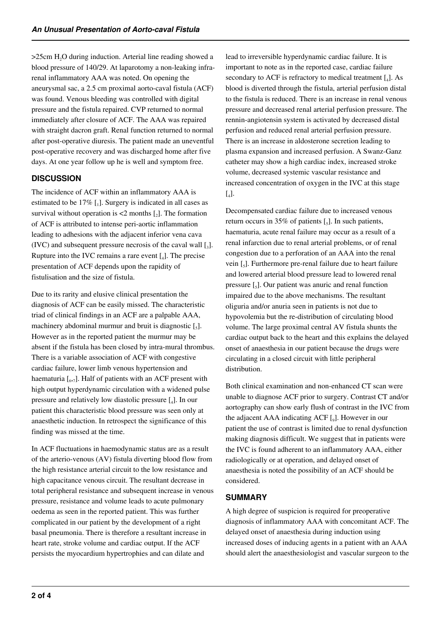$>$ 25cm H<sub>2</sub>O during induction. Arterial line reading showed a blood pressure of 140/29. At laparotomy a non-leaking infrarenal inflammatory AAA was noted. On opening the aneurysmal sac, a 2.5 cm proximal aorto-caval fistula (ACF) was found. Venous bleeding was controlled with digital pressure and the fistula repaired. CVP returned to normal immediately after closure of ACF. The AAA was repaired with straight dacron graft. Renal function returned to normal after post-operative diuresis. The patient made an uneventful post-operative recovery and was discharged home after five days. At one year follow up he is well and symptom free.

# **DISCUSSION**

The incidence of ACF within an inflammatory AAA is estimated to be  $17\%$  [1]. Surgery is indicated in all cases as survival without operation is  $\lt 2$  months  $\left[\begin{smallmatrix} 2 \end{smallmatrix}\right]$ . The formation of ACF is attributed to intense peri-aortic inflammation leading to adhesions with the adjacent inferior vena cava (IVC) and subsequent pressure necrosis of the caval wall  $\mathfrak{[}_3\mathfrak{]}$ . Rupture into the IVC remains a rare event  $\left[\begin{smallmatrix} 1 \end{smallmatrix}\right]$ . The precise presentation of ACF depends upon the rapidity of fistulisation and the size of fistula.

Due to its rarity and elusive clinical presentation the diagnosis of ACF can be easily missed. The characteristic triad of clinical findings in an ACF are a palpable AAA, machinery abdominal murmur and bruit is diagnostic  $\left[\right]$ . However as in the reported patient the murmur may be absent if the fistula has been closed by intra-mural thrombus. There is a variable association of ACF with congestive cardiac failure, lower limb venous hypertension and haematuria  $\left[\begin{smallmatrix}6&7\end{smallmatrix}\right]$ . Half of patients with an ACF present with high output hyperdynamic circulation with a widened pulse pressure and relatively low diastolic pressure  $\begin{bmatrix} 4 \end{bmatrix}$ . In our patient this characteristic blood pressure was seen only at anaesthetic induction. In retrospect the significance of this finding was missed at the time.

In ACF fluctuations in haemodynamic status are as a result of the arterio-venous (AV) fistula diverting blood flow from the high resistance arterial circuit to the low resistance and high capacitance venous circuit. The resultant decrease in total peripheral resistance and subsequent increase in venous pressure, resistance and volume leads to acute pulmonary oedema as seen in the reported patient. This was further complicated in our patient by the development of a right basal pneumonia. There is therefore a resultant increase in heart rate, stroke volume and cardiac output. If the ACF persists the myocardium hypertrophies and can dilate and

lead to irreversible hyperdynamic cardiac failure. It is important to note as in the reported case, cardiac failure secondary to ACF is refractory to medical treatment  $[$ <sub>4</sub> $].$  As blood is diverted through the fistula, arterial perfusion distal to the fistula is reduced. There is an increase in renal venous pressure and decreased renal arterial perfusion pressure. The rennin-angiotensin system is activated by decreased distal perfusion and reduced renal arterial perfusion pressure. There is an increase in aldosterone secretion leading to plasma expansion and increased perfusion. A Swanz-Ganz catheter may show a high cardiac index, increased stroke volume, decreased systemic vascular resistance and increased concentration of oxygen in the IVC at this stage  $\left[ \begin{smallmatrix} 1 \\ 4 \end{smallmatrix} \right]$ .

Decompensated cardiac failure due to increased venous return occurs in 35% of patients  $\left[\right.5\right]$ . In such patients, haematuria, acute renal failure may occur as a result of a renal infarction due to renal arterial problems, or of renal congestion due to a perforation of an AAA into the renal vein [<sub>5</sub>]. Furthermore pre-renal failure due to heart failure and lowered arterial blood pressure lead to lowered renal pressure [5]. Our patient was anuric and renal function impaired due to the above mechanisms. The resultant oliguria and/or anuria seen in patients is not due to hypovolemia but the re-distribution of circulating blood volume. The large proximal central AV fistula shunts the cardiac output back to the heart and this explains the delayed onset of anaesthesia in our patient because the drugs were circulating in a closed circuit with little peripheral distribution.

Both clinical examination and non-enhanced CT scan were unable to diagnose ACF prior to surgery. Contrast CT and/or aortography can show early flush of contrast in the IVC from the adjacent AAA indicating ACF  $[0]$ . However in our patient the use of contrast is limited due to renal dysfunction making diagnosis difficult. We suggest that in patients were the IVC is found adherent to an inflammatory AAA, either radiologically or at operation, and delayed onset of anaesthesia is noted the possibility of an ACF should be considered.

# **SUMMARY**

A high degree of suspicion is required for preoperative diagnosis of inflammatory AAA with concomitant ACF. The delayed onset of anaesthesia during induction using increased doses of inducing agents in a patient with an AAA should alert the anaesthesiologist and vascular surgeon to the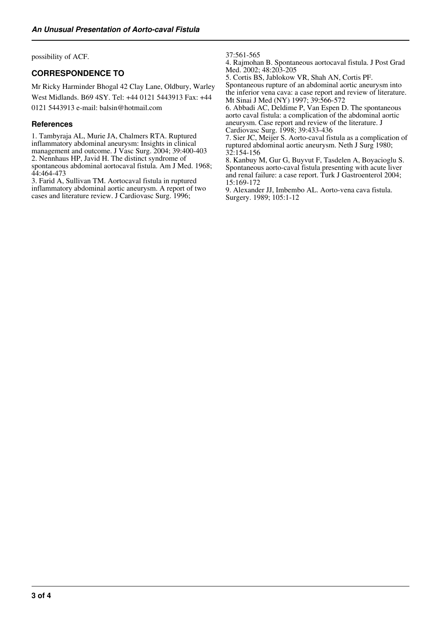possibility of ACF.

# **CORRESPONDENCE TO**

Mr Ricky Harminder Bhogal 42 Clay Lane, Oldbury, Warley West Midlands. B69 4SY. Tel: +44 0121 5443913 Fax: +44

0121 5443913 e-mail: balsin@hotmail.com

#### **References**

1. Tambyraja AL, Murie JA, Chalmers RTA. Ruptured inflammatory abdominal aneurysm: Insights in clinical management and outcome. J Vasc Surg. 2004; 39:400-403 2. Nennhaus HP, Javid H. The distinct syndrome of spontaneous abdominal aortocaval fistula. Am J Med. 1968; 44:464-473

3. Farid A, Sullivan TM. Aortocaval fistula in ruptured inflammatory abdominal aortic aneurysm. A report of two cases and literature review. J Cardiovasc Surg. 1996;

37:561-565

4. Rajmohan B. Spontaneous aortocaval fistula. J Post Grad Med. 2002; 48:203-205

5. Cortis BS, Jablokow VR, Shah AN, Cortis PF. Spontaneous rupture of an abdominal aortic aneurysm into the inferior vena cava: a case report and review of literature. Mt Sinai J Med (NY) 1997; 39:566-572

6. Abbadi AC, Deldime P, Van Espen D. The spontaneous aorto caval fistula: a complication of the abdominal aortic aneurysm. Case report and review of the literature. J Cardiovasc Surg. 1998; 39:433-436

7. Sier JC, Meijer S. Aorto-caval fistula as a complication of ruptured abdominal aortic aneurysm. Neth J Surg 1980; 32:154-156

8. Kanbuy M, Gur G, Buyvut F, Tasdelen A, Boyacioglu S. Spontaneous aorto-caval fistula presenting with acute liver and renal failure: a case report. Turk J Gastroenterol 2004; 15:169-172

9. Alexander JJ, Imbembo AL. Aorto-vena cava fistula. Surgery. 1989; 105:1-12